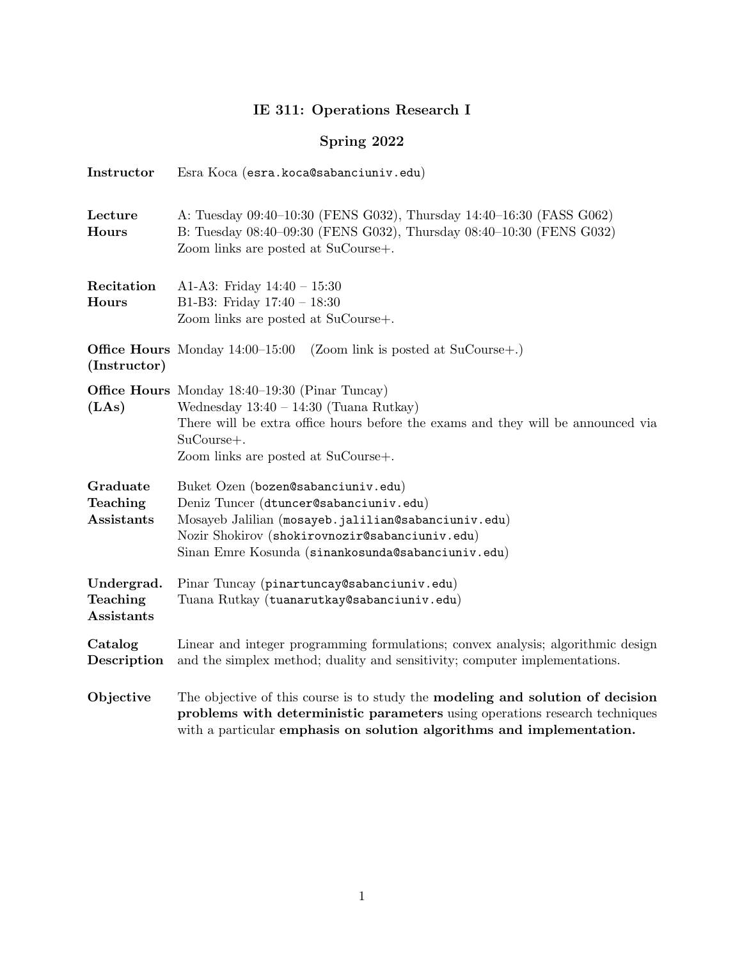## IE 311: Operations Research I

## Spring 2022

| Instructor                           | Esra Koca (esra. koca@sabanciuniv.edu)                                                                                                                                                                                                     |  |  |  |  |
|--------------------------------------|--------------------------------------------------------------------------------------------------------------------------------------------------------------------------------------------------------------------------------------------|--|--|--|--|
| Lecture<br>Hours                     | A: Tuesday 09:40-10:30 (FENS G032), Thursday 14:40-16:30 (FASS G062)<br>B: Tuesday 08:40-09:30 (FENS G032), Thursday 08:40-10:30 (FENS G032)<br>Zoom links are posted at SuCourse+.                                                        |  |  |  |  |
| Recitation<br>Hours                  | A1-A3: Friday $14:40 - 15:30$<br>B1-B3: Friday $17:40 - 18:30$<br>Zoom links are posted at SuCourse+.                                                                                                                                      |  |  |  |  |
| (Instructor)                         | <b>Office Hours</b> Monday $14:00-15:00$<br>$(200m \text{ link is posted at SuCourse+}.)$                                                                                                                                                  |  |  |  |  |
| (LAs)                                | <b>Office Hours</b> Monday 18:40–19:30 (Pinar Tuncay)<br>Wednesday $13:40 - 14:30$ (Tuana Rutkay)<br>There will be extra office hours before the exams and they will be announced via<br>SuCourse+.<br>Zoom links are posted at SuCourse+. |  |  |  |  |
| Graduate<br>Teaching<br>Assistants   | Buket Ozen (bozen@sabanciuniv.edu)<br>Deniz Tuncer (dtuncer@sabanciuniv.edu)<br>Mosayeb Jalilian (mosayeb.jalilian@sabanciuniv.edu)<br>Nozir Shokirov (shokirovnozir@sabanciuniv.edu)<br>Sinan Emre Kosunda (sinankosunda@sabanciuniv.edu) |  |  |  |  |
| Undergrad.<br>Teaching<br>Assistants | Pinar Tuncay (pinartuncay@sabanciuniv.edu)<br>Tuana Rutkay (tuanarutkay@sabanciuniv.edu)                                                                                                                                                   |  |  |  |  |
| Catalog<br>Description               | Linear and integer programming formulations; convex analysis; algorithmic design<br>and the simplex method; duality and sensitivity; computer implementations.                                                                             |  |  |  |  |
| Objective                            | The objective of this course is to study the modeling and solution of decision<br>problems with deterministic parameters using operations research techniques<br>with a particular emphasis on solution algorithms and implementation.     |  |  |  |  |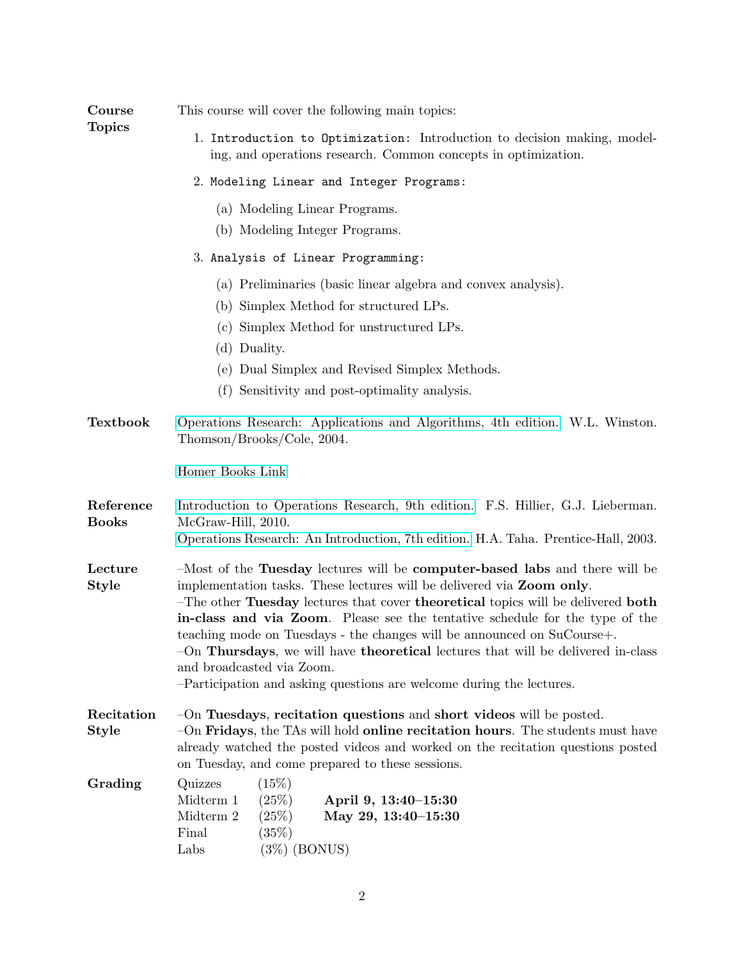| <b>Course</b><br><b>Topics</b> | This course will cover the following main topics:                                                                                                                                                                                                                                                                                                                                                                                                                                                                                                                                            |  |  |  |  |  |
|--------------------------------|----------------------------------------------------------------------------------------------------------------------------------------------------------------------------------------------------------------------------------------------------------------------------------------------------------------------------------------------------------------------------------------------------------------------------------------------------------------------------------------------------------------------------------------------------------------------------------------------|--|--|--|--|--|
|                                | 1. Introduction to Optimization: Introduction to decision making, model-<br>ing, and operations research. Common concepts in optimization.                                                                                                                                                                                                                                                                                                                                                                                                                                                   |  |  |  |  |  |
|                                | 2. Modeling Linear and Integer Programs:<br>(a) Modeling Linear Programs.<br>(b) Modeling Integer Programs.<br>3. Analysis of Linear Programming:                                                                                                                                                                                                                                                                                                                                                                                                                                            |  |  |  |  |  |
|                                |                                                                                                                                                                                                                                                                                                                                                                                                                                                                                                                                                                                              |  |  |  |  |  |
|                                |                                                                                                                                                                                                                                                                                                                                                                                                                                                                                                                                                                                              |  |  |  |  |  |
|                                | (a) Preliminaries (basic linear algebra and convex analysis).<br>(b) Simplex Method for structured LPs.<br>(c) Simplex Method for unstructured LPs.<br>(d) Duality.<br>(e) Dual Simplex and Revised Simplex Methods.<br>(f) Sensitivity and post-optimality analysis.                                                                                                                                                                                                                                                                                                                        |  |  |  |  |  |
| <b>Textbook</b>                | Operations Research: Applications and Algorithms, 4th edition. W.L. Winston.<br>Thomson/Brooks/Cole, 2004.                                                                                                                                                                                                                                                                                                                                                                                                                                                                                   |  |  |  |  |  |
|                                | Homer Books Link                                                                                                                                                                                                                                                                                                                                                                                                                                                                                                                                                                             |  |  |  |  |  |
| Reference<br><b>Books</b>      | Introduction to Operations Research, 9th edition. F.S. Hillier, G.J. Lieberman.<br>McGraw-Hill, 2010.<br>Operations Research: An Introduction, 7th edition. H.A. Taha. Prentice-Hall, 2003.                                                                                                                                                                                                                                                                                                                                                                                                  |  |  |  |  |  |
| Lecture<br><b>Style</b>        | -Most of the Tuesday lectures will be computer-based labs and there will be<br>implementation tasks. These lectures will be delivered via Zoom only.<br>-The other Tuesday lectures that cover theoretical topics will be delivered both<br>in-class and via Zoom. Please see the tentative schedule for the type of the<br>teaching mode on Tuesdays - the changes will be announced on SuCourse+.<br>-On Thursdays, we will have theoretical lectures that will be delivered in-class<br>and broadcasted via Zoom.<br>-Participation and asking questions are welcome during the lectures. |  |  |  |  |  |
| Recitation<br>Style            | $-On$ Tuesdays, recitation questions and short videos will be posted.<br>$-On$ Fridays, the TAs will hold online recitation hours. The students must have<br>already watched the posted videos and worked on the recitation questions posted<br>on Tuesday, and come prepared to these sessions.                                                                                                                                                                                                                                                                                             |  |  |  |  |  |
| Grading                        | Quizzes<br>(15%)<br>Midterm 1<br>(25%)<br>April 9, 13:40–15:30<br>Midterm 2<br>(25%)<br>May 29, 13:40-15:30<br>(35%)<br>Final<br>Labs<br>$(3\%)$ (BONUS)                                                                                                                                                                                                                                                                                                                                                                                                                                     |  |  |  |  |  |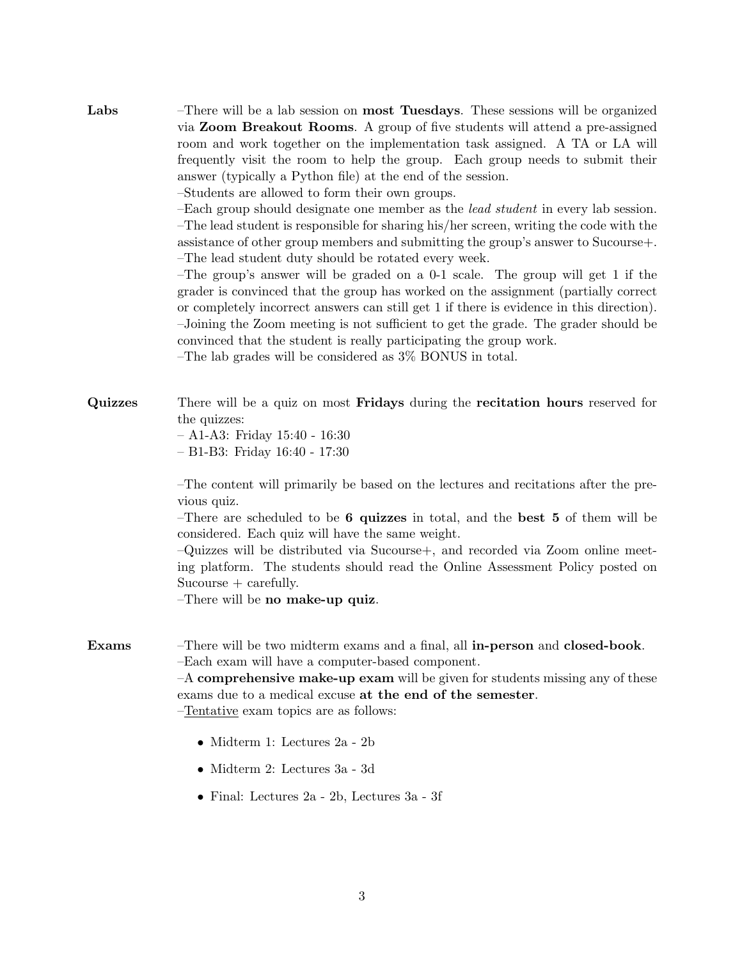Labs –There will be a lab session on most Tuesdays. These sessions will be organized via Zoom Breakout Rooms. A group of five students will attend a pre-assigned room and work together on the implementation task assigned. A TA or LA will frequently visit the room to help the group. Each group needs to submit their answer (typically a Python file) at the end of the session.

–Students are allowed to form their own groups.

–Each group should designate one member as the lead student in every lab session. –The lead student is responsible for sharing his/her screen, writing the code with the assistance of other group members and submitting the group's answer to Sucourse+. –The lead student duty should be rotated every week.

–The group's answer will be graded on a 0-1 scale. The group will get 1 if the grader is convinced that the group has worked on the assignment (partially correct or completely incorrect answers can still get 1 if there is evidence in this direction). –Joining the Zoom meeting is not sufficient to get the grade. The grader should be convinced that the student is really participating the group work.

–The lab grades will be considered as 3% BONUS in total.

- Quizzes There will be a quiz on most Fridays during the recitation hours reserved for the quizzes:
	- A1-A3: Friday 15:40 16:30

– B1-B3: Friday 16:40 - 17:30

–The content will primarily be based on the lectures and recitations after the previous quiz.

–There are scheduled to be 6 quizzes in total, and the best 5 of them will be considered. Each quiz will have the same weight.

–Quizzes will be distributed via Sucourse+, and recorded via Zoom online meeting platform. The students should read the Online Assessment Policy posted on Sucourse + carefully.

–There will be no make-up quiz.

Exams –There will be two midterm exams and a final, all in-person and closed-book. –Each exam will have a computer-based component.

> –A comprehensive make-up exam will be given for students missing any of these exams due to a medical excuse at the end of the semester.

- –Tentative exam topics are as follows:
	- Midterm 1: Lectures 2a 2b
	- Midterm 2: Lectures 3a 3d
	- Final: Lectures 2a 2b, Lectures 3a 3f